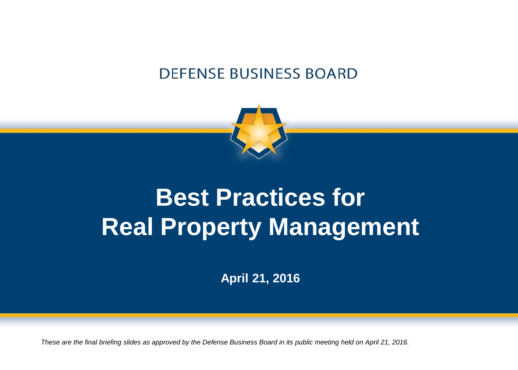#### **DEFENSE BUSINESS BOARD**



# **Best Practices for Real Property Management**

**April 21, 2016**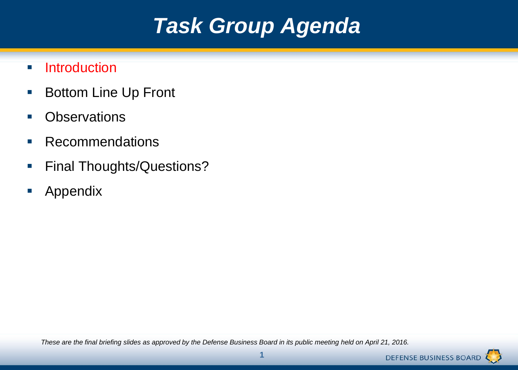# *Task Group Agenda*

- **Introduction**
- **Bottom Line Up Front**
- **•** Observations
- **Recommendations**
- **Final Thoughts/Questions?**
- **Appendix**

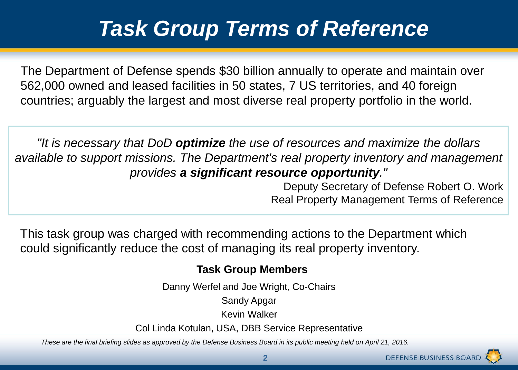# *Task Group Terms of Reference*

The Department of Defense spends \$30 billion annually to operate and maintain over 562,000 owned and leased facilities in 50 states, 7 US territories, and 40 foreign countries; arguably the largest and most diverse real property portfolio in the world.

*"It is necessary that DoD optimize the use of resources and maximize the dollars available to support missions. The Department's real property inventory and management provides a significant resource opportunity."* 

> Deputy Secretary of Defense Robert O. Work Real Property Management Terms of Reference

This task group was charged with recommending actions to the Department which could significantly reduce the cost of managing its real property inventory.

#### **Task Group Members**

Danny Werfel and Joe Wright, Co-Chairs

Sandy Apgar

Kevin Walker

Col Linda Kotulan, USA, DBB Service Representative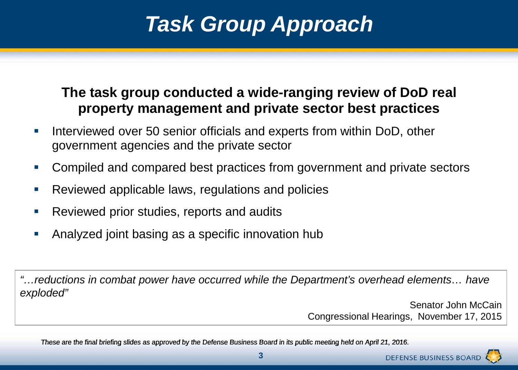# *Task Group Approach*

#### **The task group conducted a wide-ranging review of DoD real property management and private sector best practices**

- Interviewed over 50 senior officials and experts from within DoD, other government agencies and the private sector
- Compiled and compared best practices from government and private sectors
- Reviewed applicable laws, regulations and policies
- Reviewed prior studies, reports and audits
- Analyzed joint basing as a specific innovation hub

*"…reductions in combat power have occurred while the Department's overhead elements… have exploded"*

> Senator John McCain Congressional Hearings, November 17, 2015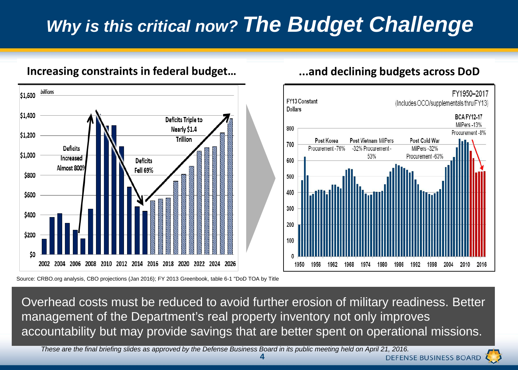## *Why is this critical now? The Budget Challenge*



#### **Increasing constraints in federal budget… ...and declining budgets across DoD**



Overhead costs must be reduced to avoid further erosion of military readiness. Better management of the Department's real property inventory not only improves accountability but may provide savings that are better spent on operational missions.

These are the final briefing slides as approved by the Defense Business Board in its public meeting held on April 21, 2016. *These are the final briefing slides as approved by the Defense Business Board in its public meeting held on April 21, 2016.* 

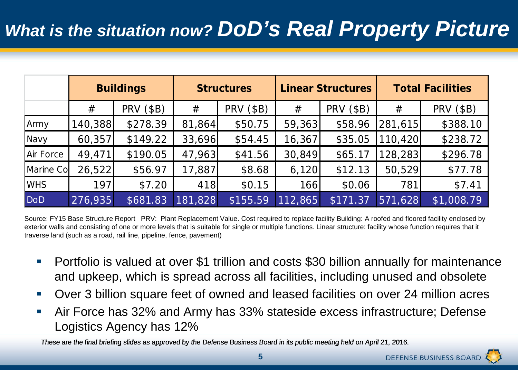#### *What is the situation now? DoD's Real Property Picture*

|            | <b>Buildings</b> |                  | <b>Structures</b> |                  | <b>Linear Structures</b> |                  | <b>Total Facilities</b> |                  |
|------------|------------------|------------------|-------------------|------------------|--------------------------|------------------|-------------------------|------------------|
|            | #                | <b>PRV (\$B)</b> | #                 | <b>PRV (\$B)</b> | #                        | <b>PRV (\$B)</b> | #                       | <b>PRV (\$B)</b> |
| Army       | 140,388          | \$278.39         | 81,864            | \$50.75          | 59,363                   | \$58.96          | 281,615                 | \$388.10         |
| Navy       | 60,357           | \$149.22         | 33,696            | \$54.45          | 16,367                   | \$35.05          | 110,420                 | \$238.72         |
| Air Force  | 49,471           | \$190.05         | 47,963            | \$41.56          | 30,849                   | \$65.17          | 128,283                 | \$296.78         |
| Marine Co  | 26,522           | \$56.97          | 17,887            | \$8.68           | 6,120                    | \$12.13          | 50,529                  | \$77.78          |
| <b>WHS</b> | 197              | \$7.20           | 418               | \$0.15           | 166                      | \$0.06           | 781                     | \$7.41           |
| <b>DoD</b> | 276,935          | \$681.83         | 181,828           | \$155.59         | 112,865                  | \$171.37         | 571,628                 | \$1,008.79       |

Source: FY15 Base Structure Report PRV: Plant Replacement Value. Cost required to replace facility Building: A roofed and floored facility enclosed by exterior walls and consisting of one or more levels that is suitable for single or multiple functions. Linear structure: facility whose function requires that it traverse land (such as a road, rail line, pipeline, fence, pavement)

- **Portfolio is valued at over \$1 trillion and costs \$30 billion annually for maintenance** and upkeep, which is spread across all facilities, including unused and obsolete
- Over 3 billion square feet of owned and leased facilities on over 24 million acres
- Air Force has 32% and Army has 33% stateside excess infrastructure; Defense Logistics Agency has 12%

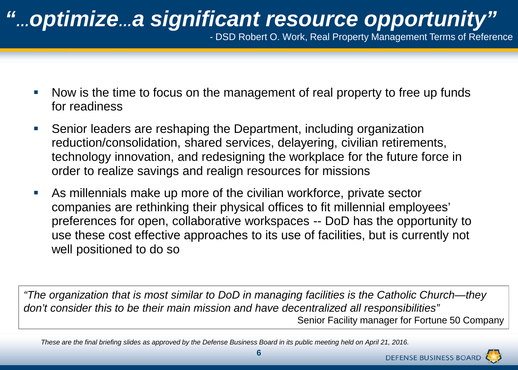# *"…optimize…a significant resource opportunity"*

*-* DSD Robert O. Work, Real Property Management Terms of Reference

- Now is the time to focus on the management of real property to free up funds for readiness
- Senior leaders are reshaping the Department, including organization reduction/consolidation, shared services, delayering, civilian retirements, technology innovation, and redesigning the workplace for the future force in order to realize savings and realign resources for missions
- As millennials make up more of the civilian workforce, private sector companies are rethinking their physical offices to fit millennial employees' preferences for open, collaborative workspaces -- DoD has the opportunity to use these cost effective approaches to its use of facilities, but is currently not well positioned to do so

*"The organization that is most similar to DoD in managing facilities is the Catholic Church—they don't consider this to be their main mission and have decentralized all responsibilities"*  Senior Facility manager for Fortune 50 Company

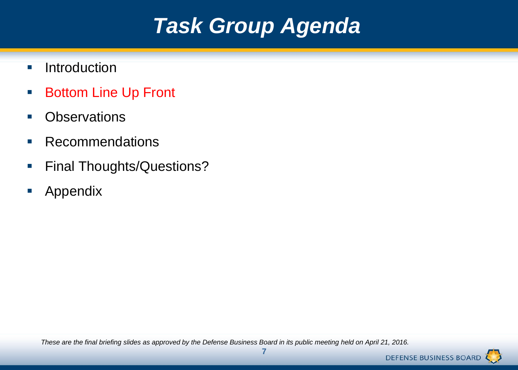# *Task Group Agenda*

- **Introduction**
- Bottom Line Up Front
- **•** Observations
- **Recommendations**
- **Final Thoughts/Questions?**
- **Appendix**

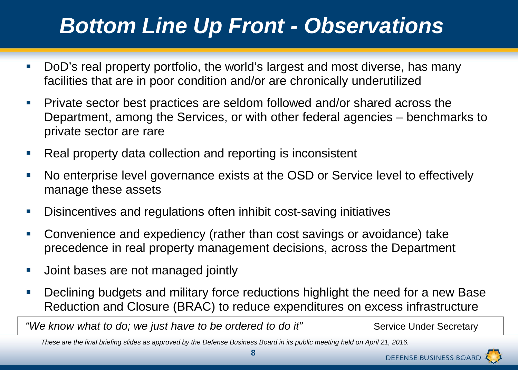# *Bottom Line Up Front - Observations*

- DoD's real property portfolio, the world's largest and most diverse, has many facilities that are in poor condition and/or are chronically underutilized
- **Private sector best practices are seldom followed and/or shared across the** Department, among the Services, or with other federal agencies – benchmarks to private sector are rare
- Real property data collection and reporting is inconsistent
- No enterprise level governance exists at the OSD or Service level to effectively manage these assets
- Disincentives and regulations often inhibit cost-saving initiatives
- Convenience and expediency (rather than cost savings or avoidance) take precedence in real property management decisions, across the Department
- **Joint bases are not managed jointly**
- **Declining budgets and military force reductions highlight the need for a new Base** Reduction and Closure (BRAC) to reduce expenditures on excess infrastructure

*"We know what to do; we just have to be ordered to do it"* Service Under Secretary

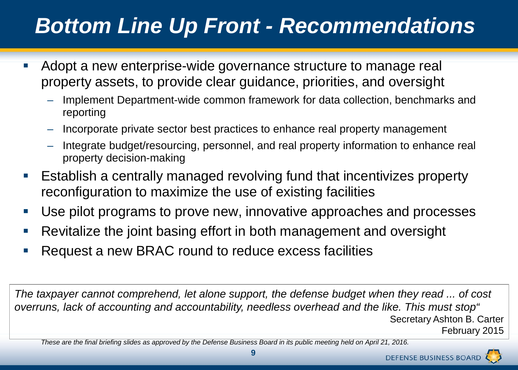# *Bottom Line Up Front - Recommendations*

- Adopt a new enterprise-wide governance structure to manage real property assets, to provide clear guidance, priorities, and oversight
	- Implement Department-wide common framework for data collection, benchmarks and reporting
	- Incorporate private sector best practices to enhance real property management
	- Integrate budget/resourcing, personnel, and real property information to enhance real property decision-making
- Establish a centrally managed revolving fund that incentivizes property reconfiguration to maximize the use of existing facilities
- Use pilot programs to prove new, innovative approaches and processes
- **Revitalize the joint basing effort in both management and oversight**
- Request a new BRAC round to reduce excess facilities

*The taxpayer cannot comprehend, let alone support, the defense budget when they read ... of cost overruns, lack of accounting and accountability, needless overhead and the like. This must stop"* Secretary Ashton B. Carter February 2015



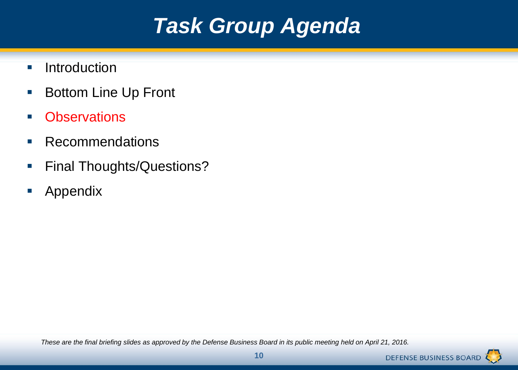# *Task Group Agenda*

- **Introduction**
- **Bottom Line Up Front**
- **-** Observations
- **Recommendations**
- **Final Thoughts/Questions?**
- **Appendix**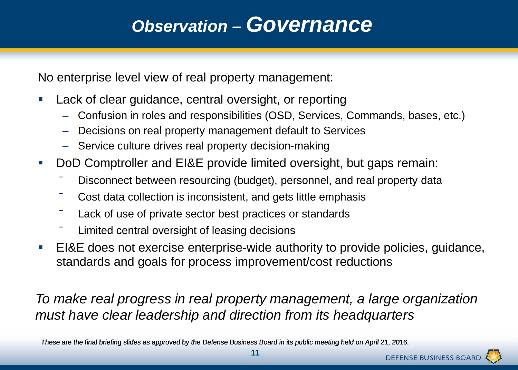#### *Observation – Governance*

No enterprise level view of real property management:

- **Lack of clear guidance, central oversight, or reporting** 
	- Confusion in roles and responsibilities (OSD, Services, Commands, bases, etc.)
	- Decisions on real property management default to Services
	- Service culture drives real property decision-making
- DoD Comptroller and EI&E provide limited oversight, but gaps remain:
	- Disconnect between resourcing (budget), personnel, and real property data
	- ‾ Cost data collection is inconsistent, and gets little emphasis
	- Lack of use of private sector best practices or standards
	- Limited central oversight of leasing decisions
- EI&E does not exercise enterprise-wide authority to provide policies, guidance, standards and goals for process improvement/cost reductions

*To make real progress in real property management, a large organization must have clear leadership and direction from its headquarters*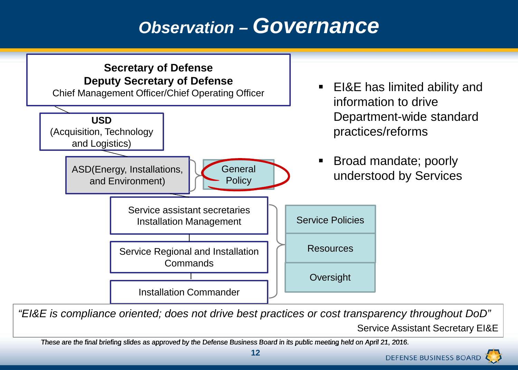#### *Observation – Governance*



*"EI&E is compliance oriented; does not drive best practices or cost transparency throughout DoD"* Service Assistant Secretary EI&E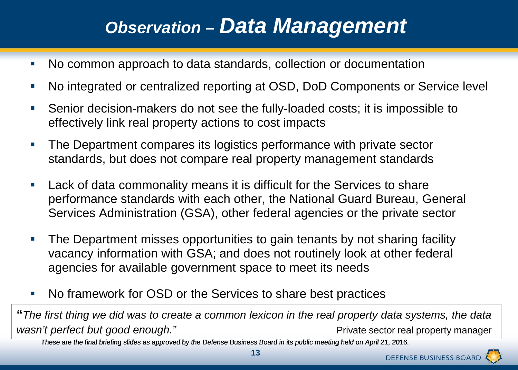#### *Observation – Data Management*

- No common approach to data standards, collection or documentation
- No integrated or centralized reporting at OSD, DoD Components or Service level
- Senior decision-makers do not see the fully-loaded costs; it is impossible to effectively link real property actions to cost impacts
- **The Department compares its logistics performance with private sector** standards, but does not compare real property management standards
- **Lack of data commonality means it is difficult for the Services to share** performance standards with each other, the National Guard Bureau, General Services Administration (GSA), other federal agencies or the private sector
- **The Department misses opportunities to gain tenants by not sharing facility** vacancy information with GSA; and does not routinely look at other federal agencies for available government space to meet its needs
- No framework for OSD or the Services to share best practices

**"***The first thing we did was to create a common lexicon in the real property data systems, the data wasn't perfect but good enough.*" Network and the private sector real property manager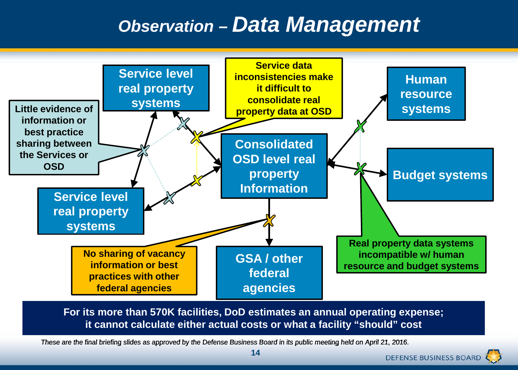#### *Observation – Data Management*



**For its more than 570K facilities, DoD estimates an annual operating expense; it cannot calculate either actual costs or what a facility "should" cost**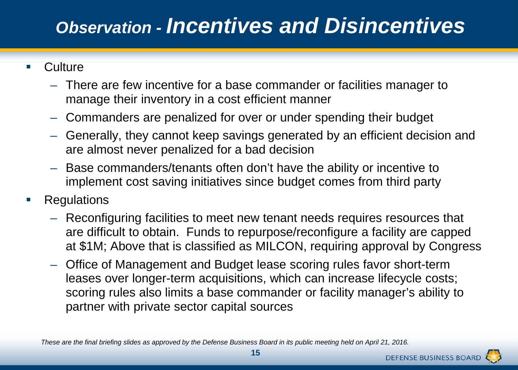## *Observation - Incentives and Disincentives*

- Culture
	- There are few incentive for a base commander or facilities manager to manage their inventory in a cost efficient manner
	- Commanders are penalized for over or under spending their budget
	- Generally, they cannot keep savings generated by an efficient decision and are almost never penalized for a bad decision
	- Base commanders/tenants often don't have the ability or incentive to implement cost saving initiatives since budget comes from third party
- **Regulations** 
	- Reconfiguring facilities to meet new tenant needs requires resources that are difficult to obtain. Funds to repurpose/reconfigure a facility are capped at \$1M; Above that is classified as MILCON, requiring approval by Congress
	- Office of Management and Budget lease scoring rules favor short-term leases over longer-term acquisitions, which can increase lifecycle costs; scoring rules also limits a base commander or facility manager's ability to partner with private sector capital sources

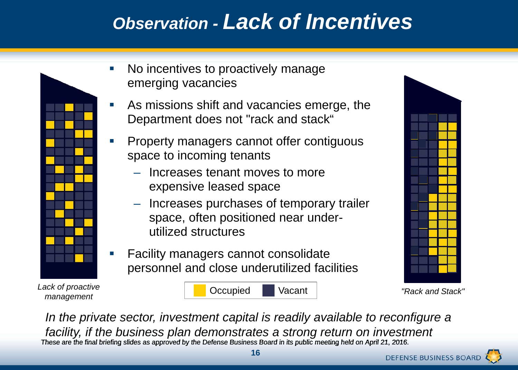## *Observation - Lack of Incentives*



- No incentives to proactively manage emerging vacancies
- As missions shift and vacancies emerge, the Department does not "rack and stack"
- Property managers cannot offer contiguous space to incoming tenants
	- Increases tenant moves to more expensive leased space
	- Increases purchases of temporary trailer space, often positioned near underutilized structures
- Facility managers cannot consolidate personnel and close underutilized facilities



These are the final briefing slides as approved by the Defense Business Board in its public meeting held on April 21, 2016. In the private sector, investment capital is readily available to reconfigure a *facility, if the business plan demonstrates a strong return on investment*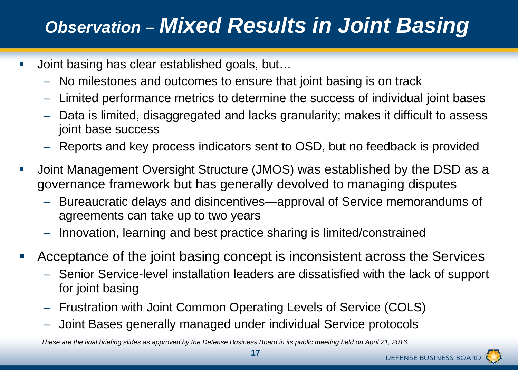# *Observation – Mixed Results in Joint Basing*

- Joint basing has clear established goals, but…
	- No milestones and outcomes to ensure that joint basing is on track
	- Limited performance metrics to determine the success of individual joint bases
	- Data is limited, disaggregated and lacks granularity; makes it difficult to assess joint base success
	- Reports and key process indicators sent to OSD, but no feedback is provided
- Joint Management Oversight Structure (JMOS) was established by the DSD as a governance framework but has generally devolved to managing disputes
	- Bureaucratic delays and disincentives—approval of Service memorandums of agreements can take up to two years
	- Innovation, learning and best practice sharing is limited/constrained
- Acceptance of the joint basing concept is inconsistent across the Services
	- Senior Service-level installation leaders are dissatisfied with the lack of support for joint basing
	- Frustration with Joint Common Operating Levels of Service (COLS)
	- Joint Bases generally managed under individual Service protocols

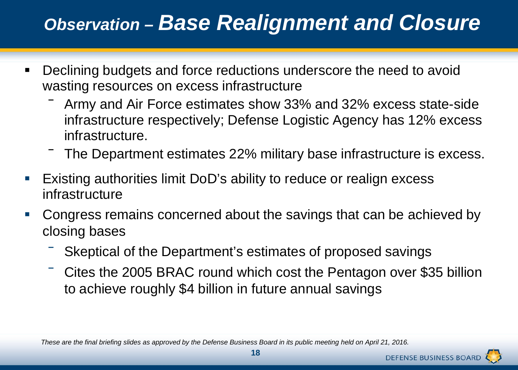## *Observation – Base Realignment and Closure*

- **Declining budgets and force reductions underscore the need to avoid** wasting resources on excess infrastructure
	- ‾ Army and Air Force estimates show 33% and 32% excess state-side infrastructure respectively; Defense Logistic Agency has 12% excess infrastructure.
	- ‾ The Department estimates 22% military base infrastructure is excess.
- Existing authorities limit DoD's ability to reduce or realign excess infrastructure
- Congress remains concerned about the savings that can be achieved by closing bases
	- Skeptical of the Department's estimates of proposed savings
	- Cites the 2005 BRAC round which cost the Pentagon over \$35 billion to achieve roughly \$4 billion in future annual savings

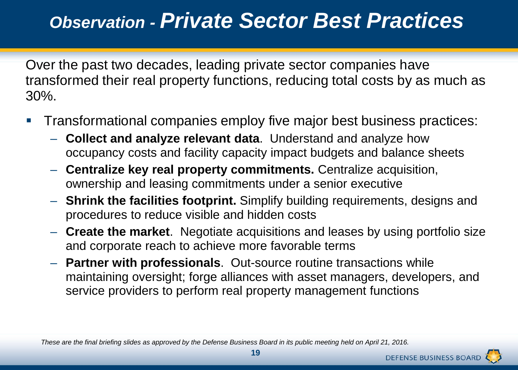## *Observation - Private Sector Best Practices*

Over the past two decades, leading private sector companies have transformed their real property functions, reducing total costs by as much as 30%.

- Transformational companies employ five major best business practices:
	- **Collect and analyze relevant data**. Understand and analyze how occupancy costs and facility capacity impact budgets and balance sheets
	- **Centralize key real property commitments.** Centralize acquisition, ownership and leasing commitments under a senior executive
	- **Shrink the facilities footprint.** Simplify building requirements, designs and procedures to reduce visible and hidden costs
	- **Create the market**. Negotiate acquisitions and leases by using portfolio size and corporate reach to achieve more favorable terms
	- **Partner with professionals**. Out-source routine transactions while maintaining oversight; forge alliances with asset managers, developers, and service providers to perform real property management functions



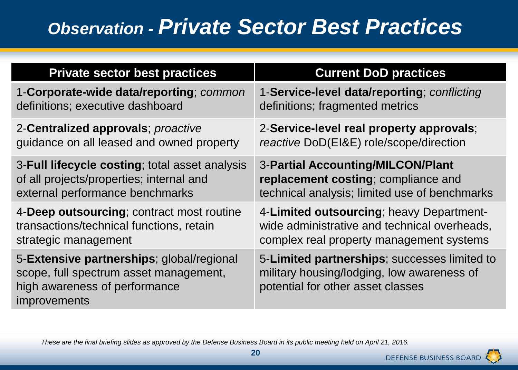### *Observation - Private Sector Best Practices*

| <b>Private sector best practices</b>                                                                                                        | <b>Current DoD practices</b>                                                                                                    |
|---------------------------------------------------------------------------------------------------------------------------------------------|---------------------------------------------------------------------------------------------------------------------------------|
| 1-Corporate-wide data/reporting; common                                                                                                     | 1-Service-level data/reporting; conflicting                                                                                     |
| definitions; executive dashboard                                                                                                            | definitions; fragmented metrics                                                                                                 |
| 2-Centralized approvals; proactive                                                                                                          | 2-Service-level real property approvals;                                                                                        |
| guidance on all leased and owned property                                                                                                   | reactive DoD(EI&E) role/scope/direction                                                                                         |
| 3-Full lifecycle costing; total asset analysis                                                                                              | 3-Partial Accounting/MILCON/Plant                                                                                               |
| of all projects/properties; internal and                                                                                                    | replacement costing; compliance and                                                                                             |
| external performance benchmarks                                                                                                             | technical analysis; limited use of benchmarks                                                                                   |
| 4-Deep outsourcing; contract most routine                                                                                                   | 4-Limited outsourcing; heavy Department-                                                                                        |
| transactions/technical functions, retain                                                                                                    | wide administrative and technical overheads,                                                                                    |
| strategic management                                                                                                                        | complex real property management systems                                                                                        |
| 5-Extensive partnerships; global/regional<br>scope, full spectrum asset management,<br>high awareness of performance<br><i>improvements</i> | 5-Limited partnerships; successes limited to<br>military housing/lodging, low awareness of<br>potential for other asset classes |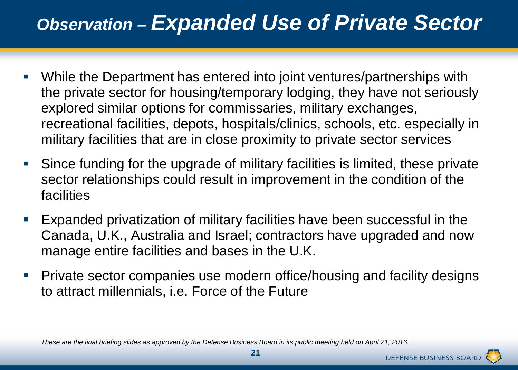#### *Observation – Expanded Use of Private Sector*

- While the Department has entered into joint ventures/partnerships with the private sector for housing/temporary lodging, they have not seriously explored similar options for commissaries, military exchanges, recreational facilities, depots, hospitals/clinics, schools, etc. especially in military facilities that are in close proximity to private sector services
- Since funding for the upgrade of military facilities is limited, these private sector relationships could result in improvement in the condition of the facilities
- Expanded privatization of military facilities have been successful in the Canada, U.K., Australia and Israel; contractors have upgraded and now manage entire facilities and bases in the U.K.
- Private sector companies use modern office/housing and facility designs to attract millennials, i.e. Force of the Future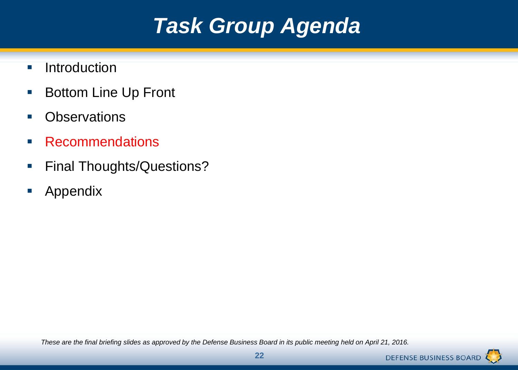# *Task Group Agenda*

- **Introduction**
- **Bottom Line Up Front**
- **•** Observations
- **Recommendations**
- **Final Thoughts/Questions?**
- **Appendix**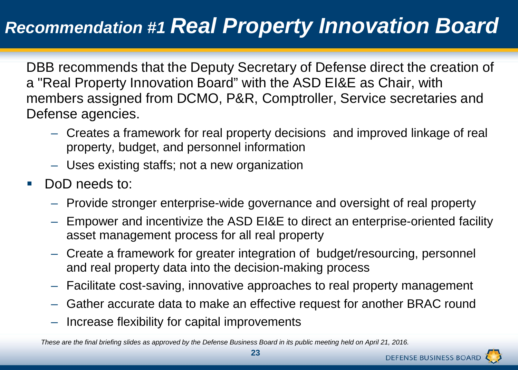#### *Recommendation #1 Real Property Innovation Board*

DBB recommends that the Deputy Secretary of Defense direct the creation of a "Real Property Innovation Board" with the ASD EI&E as Chair, with members assigned from DCMO, P&R, Comptroller, Service secretaries and Defense agencies.

- Creates a framework for real property decisions and improved linkage of real property, budget, and personnel information
- Uses existing staffs; not a new organization
- DoD needs to:
	- Provide stronger enterprise-wide governance and oversight of real property
	- Empower and incentivize the ASD EI&E to direct an enterprise-oriented facility asset management process for all real property
	- Create a framework for greater integration of budget/resourcing, personnel and real property data into the decision-making process
	- Facilitate cost-saving, innovative approaches to real property management
	- Gather accurate data to make an effective request for another BRAC round
	- Increase flexibility for capital improvements

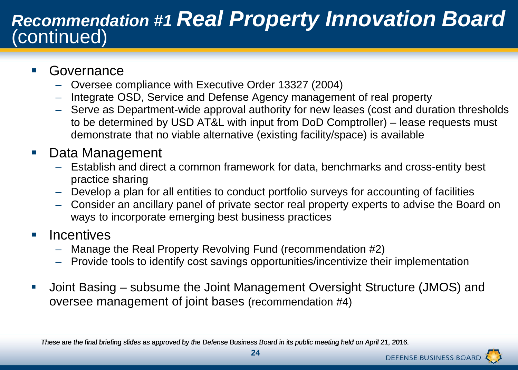# *Recommendation #1 Real Property Innovation Board* (continued)

- Governance
	- Oversee compliance with Executive Order 13327 (2004)
	- Integrate OSD, Service and Defense Agency management of real property
	- Serve as Department-wide approval authority for new leases (cost and duration thresholds to be determined by USD AT&L with input from DoD Comptroller) – lease requests must demonstrate that no viable alternative (existing facility/space) is available
- Data Management
	- Establish and direct a common framework for data, benchmarks and cross-entity best practice sharing
	- Develop a plan for all entities to conduct portfolio surveys for accounting of facilities
	- Consider an ancillary panel of private sector real property experts to advise the Board on ways to incorporate emerging best business practices
- **Incentives** 
	- Manage the Real Property Revolving Fund (recommendation #2)
	- Provide tools to identify cost savings opportunities/incentivize their implementation
- Joint Basing subsume the Joint Management Oversight Structure (JMOS) and oversee management of joint bases (recommendation #4)



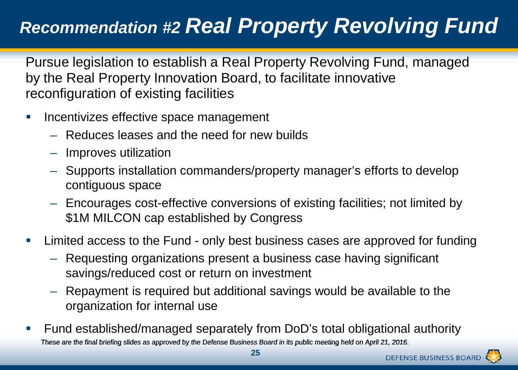# *Recommendation #2 Real Property Revolving Fund*

Pursue legislation to establish a Real Property Revolving Fund, managed by the Real Property Innovation Board, to facilitate innovative reconfiguration of existing facilities

- **Incentivizes effective space management** 
	- Reduces leases and the need for new builds
	- Improves utilization
	- Supports installation commanders/property manager's efforts to develop contiguous space
	- Encourages cost-effective conversions of existing facilities; not limited by \$1M MILCON cap established by Congress
- **Limited access to the Fund only best business cases are approved for funding** 
	- Requesting organizations present a business case having significant savings/reduced cost or return on investment
	- Repayment is required but additional savings would be available to the organization for internal use
- These are the final briefing slides as approved by the Defense Business Board in its public meeting held on April 21, 2016. Fund established/managed separately from DoD's total obligational authority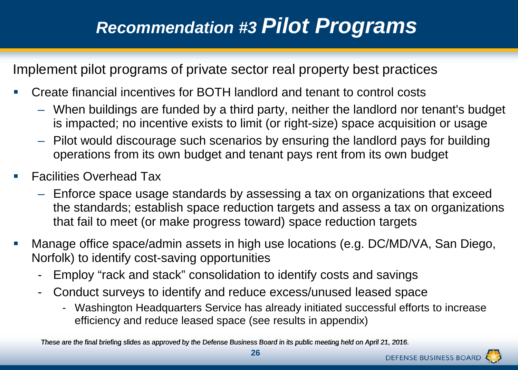Implement pilot programs of private sector real property best practices

- Create financial incentives for BOTH landlord and tenant to control costs
	- When buildings are funded by a third party, neither the landlord nor tenant's budget is impacted; no incentive exists to limit (or right-size) space acquisition or usage
	- Pilot would discourage such scenarios by ensuring the landlord pays for building operations from its own budget and tenant pays rent from its own budget
- Facilities Overhead Tax
	- Enforce space usage standards by assessing a tax on organizations that exceed the standards; establish space reduction targets and assess a tax on organizations that fail to meet (or make progress toward) space reduction targets
- Manage office space/admin assets in high use locations (e.g. DC/MD/VA, San Diego, Norfolk) to identify cost-saving opportunities
	- Employ "rack and stack" consolidation to identify costs and savings
	- Conduct surveys to identify and reduce excess/unused leased space
		- Washington Headquarters Service has already initiated successful efforts to increase efficiency and reduce leased space (see results in appendix)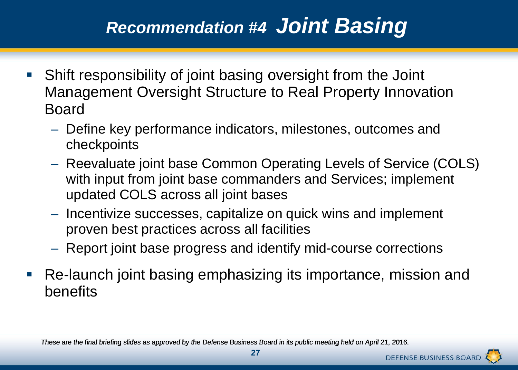#### *Recommendation #4 Joint Basing*

- Shift responsibility of joint basing oversight from the Joint Management Oversight Structure to Real Property Innovation Board
	- Define key performance indicators, milestones, outcomes and checkpoints
	- Reevaluate joint base Common Operating Levels of Service (COLS) with input from joint base commanders and Services; implement updated COLS across all joint bases
	- Incentivize successes, capitalize on quick wins and implement proven best practices across all facilities
	- Report joint base progress and identify mid-course corrections
- Re-launch joint basing emphasizing its importance, mission and benefits

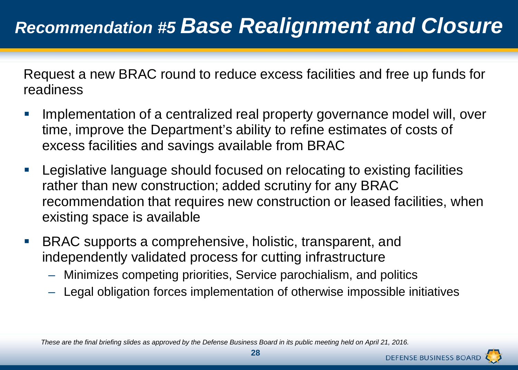Request a new BRAC round to reduce excess facilities and free up funds for readiness

- Implementation of a centralized real property governance model will, over time, improve the Department's ability to refine estimates of costs of excess facilities and savings available from BRAC
- Legislative language should focused on relocating to existing facilities rather than new construction; added scrutiny for any BRAC recommendation that requires new construction or leased facilities, when existing space is available
- BRAC supports a comprehensive, holistic, transparent, and independently validated process for cutting infrastructure
	- Minimizes competing priorities, Service parochialism, and politics
	- Legal obligation forces implementation of otherwise impossible initiatives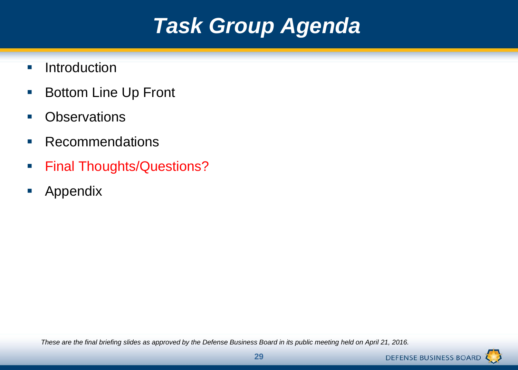# *Task Group Agenda*

- **Introduction**
- **Bottom Line Up Front**
- **•** Observations
- **Recommendations**
- **Final Thoughts/Questions?**
- **Appendix**

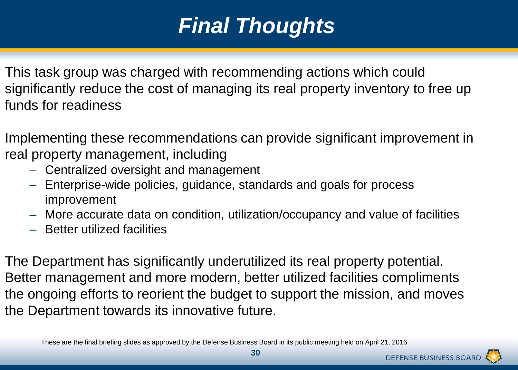# *Final Thoughts*

This task group was charged with recommending actions which could significantly reduce the cost of managing its real property inventory to free up funds for readiness

Implementing these recommendations can provide significant improvement in real property management, including

- Centralized oversight and management
- Enterprise-wide policies, guidance, standards and goals for process improvement
- More accurate data on condition, utilization/occupancy and value of facilities
- Better utilized facilities

The Department has significantly underutilized its real property potential. Better management and more modern, better utilized facilities compliments the ongoing efforts to reorient the budget to support the mission, and moves the Department towards its innovative future.